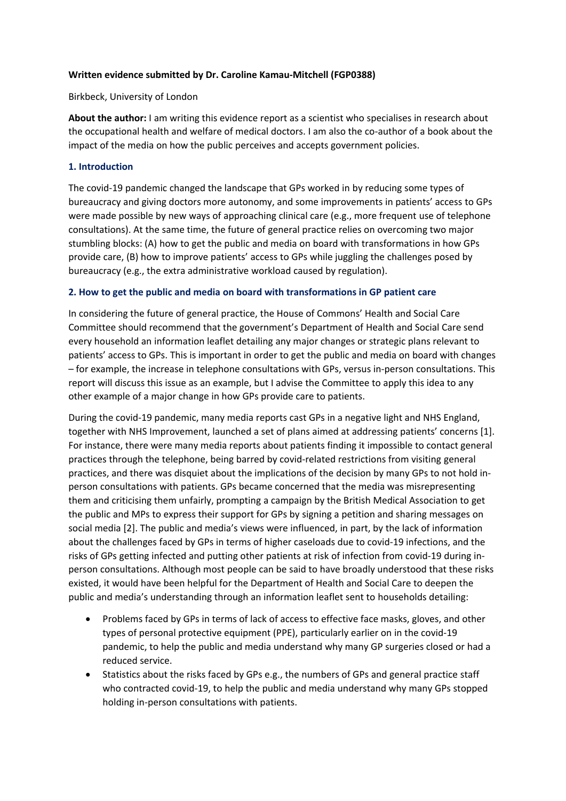## **Written evidence submitted by Dr. Caroline Kamau-Mitchell (FGP0388)**

Birkbeck, University of London

**About the author:** I am writing this evidence report as a scientist who specialises in research about the occupational health and welfare of medical doctors. I am also the co-author of a book about the impact of the media on how the public perceives and accepts government policies.

## **1. Introduction**

The covid-19 pandemic changed the landscape that GPs worked in by reducing some types of bureaucracy and giving doctors more autonomy, and some improvements in patients' access to GPs were made possible by new ways of approaching clinical care (e.g., more frequent use of telephone consultations). At the same time, the future of general practice relies on overcoming two major stumbling blocks: (A) how to get the public and media on board with transformations in how GPs provide care, (B) how to improve patients' access to GPs while juggling the challenges posed by bureaucracy (e.g., the extra administrative workload caused by regulation).

## **2. How to get the public and media on board with transformations in GP patient care**

In considering the future of general practice, the House of Commons' Health and Social Care Committee should recommend that the government's Department of Health and Social Care send every household an information leaflet detailing any major changes or strategic plans relevant to patients' access to GPs. This is important in order to get the public and media on board with changes – for example, the increase in telephone consultations with GPs, versus in-person consultations. This report will discuss this issue as an example, but I advise the Committee to apply this idea to any other example of a major change in how GPs provide care to patients.

During the covid-19 pandemic, many media reports cast GPs in a negative light and NHS England, together with NHS Improvement, launched a set of plans aimed at addressing patients' concerns [1]. For instance, there were many media reports about patients finding it impossible to contact general practices through the telephone, being barred by covid-related restrictions from visiting general practices, and there was disquiet about the implications of the decision by many GPs to not hold inperson consultations with patients. GPs became concerned that the media was misrepresenting them and criticising them unfairly, prompting a campaign by the British Medical Association to get the public and MPs to express their support for GPs by signing a petition and sharing messages on social media [2]. The public and media's views were influenced, in part, by the lack of information about the challenges faced by GPs in terms of higher caseloads due to covid-19 infections, and the risks of GPs getting infected and putting other patients at risk of infection from covid-19 during inperson consultations. Although most people can be said to have broadly understood that these risks existed, it would have been helpful for the Department of Health and Social Care to deepen the public and media's understanding through an information leaflet sent to households detailing:

- Problems faced by GPs in terms of lack of access to effective face masks, gloves, and other types of personal protective equipment (PPE), particularly earlier on in the covid-19 pandemic, to help the public and media understand why many GP surgeries closed or had a reduced service.
- Statistics about the risks faced by GPs e.g., the numbers of GPs and general practice staff who contracted covid-19, to help the public and media understand why many GPs stopped holding in-person consultations with patients.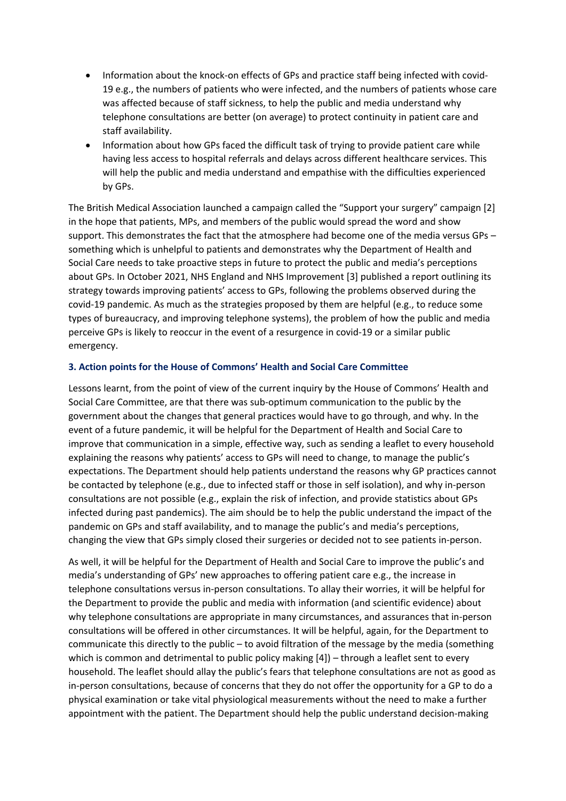- Information about the knock-on effects of GPs and practice staff being infected with covid-19 e.g., the numbers of patients who were infected, and the numbers of patients whose care was affected because of staff sickness, to help the public and media understand why telephone consultations are better (on average) to protect continuity in patient care and staff availability.
- Information about how GPs faced the difficult task of trying to provide patient care while having less access to hospital referrals and delays across different healthcare services. This will help the public and media understand and empathise with the difficulties experienced by GPs.

The British Medical Association launched a campaign called the "Support your surgery" campaign [2] in the hope that patients, MPs, and members of the public would spread the word and show support. This demonstrates the fact that the atmosphere had become one of the media versus GPs – something which is unhelpful to patients and demonstrates why the Department of Health and Social Care needs to take proactive steps in future to protect the public and media's perceptions about GPs. In October 2021, NHS England and NHS Improvement [3] published a report outlining its strategy towards improving patients' access to GPs, following the problems observed during the covid-19 pandemic. As much as the strategies proposed by them are helpful (e.g., to reduce some types of bureaucracy, and improving telephone systems), the problem of how the public and media perceive GPs is likely to reoccur in the event of a resurgence in covid-19 or a similar public emergency.

## **3. Action points for the House of Commons' Health and Social Care Committee**

Lessons learnt, from the point of view of the current inquiry by the House of Commons' Health and Social Care Committee, are that there was sub-optimum communication to the public by the government about the changes that general practices would have to go through, and why. In the event of a future pandemic, it will be helpful for the Department of Health and Social Care to improve that communication in a simple, effective way, such as sending a leaflet to every household explaining the reasons why patients' access to GPs will need to change, to manage the public's expectations. The Department should help patients understand the reasons why GP practices cannot be contacted by telephone (e.g., due to infected staff or those in self isolation), and why in-person consultations are not possible (e.g., explain the risk of infection, and provide statistics about GPs infected during past pandemics). The aim should be to help the public understand the impact of the pandemic on GPs and staff availability, and to manage the public's and media's perceptions, changing the view that GPs simply closed their surgeries or decided not to see patients in-person.

As well, it will be helpful for the Department of Health and Social Care to improve the public's and media's understanding of GPs' new approaches to offering patient care e.g., the increase in telephone consultations versus in-person consultations. To allay their worries, it will be helpful for the Department to provide the public and media with information (and scientific evidence) about why telephone consultations are appropriate in many circumstances, and assurances that in-person consultations will be offered in other circumstances. It will be helpful, again, for the Department to communicate this directly to the public – to avoid filtration of the message by the media (something which is common and detrimental to public policy making [4]) – through a leaflet sent to every household. The leaflet should allay the public's fears that telephone consultations are not as good as in-person consultations, because of concerns that they do not offer the opportunity for a GP to do a physical examination or take vital physiological measurements without the need to make a further appointment with the patient. The Department should help the public understand decision-making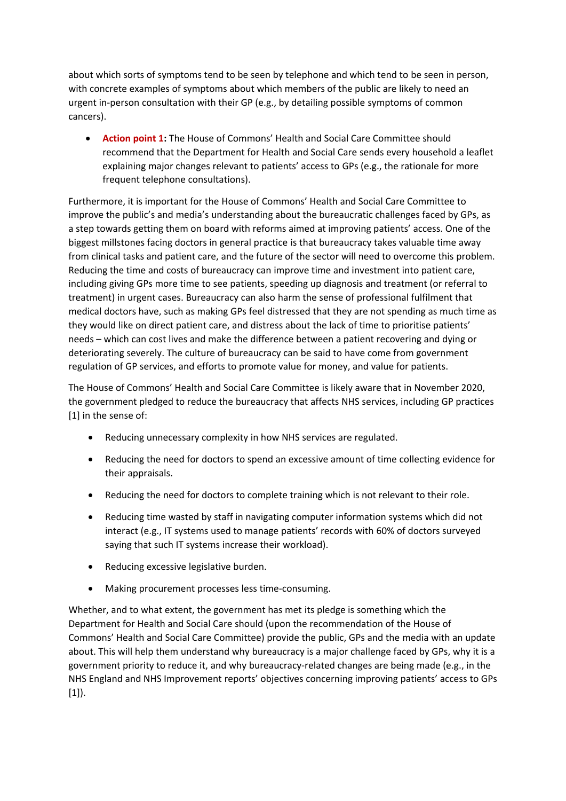about which sorts of symptoms tend to be seen by telephone and which tend to be seen in person, with concrete examples of symptoms about which members of the public are likely to need an urgent in-person consultation with their GP (e.g., by detailing possible symptoms of common cancers).

 **Action point 1:** The House of Commons' Health and Social Care Committee should recommend that the Department for Health and Social Care sends every household a leaflet explaining major changes relevant to patients' access to GPs (e.g., the rationale for more frequent telephone consultations).

Furthermore, it is important for the House of Commons' Health and Social Care Committee to improve the public's and media's understanding about the bureaucratic challenges faced by GPs, as a step towards getting them on board with reforms aimed at improving patients' access. One of the biggest millstones facing doctors in general practice is that bureaucracy takes valuable time away from clinical tasks and patient care, and the future of the sector will need to overcome this problem. Reducing the time and costs of bureaucracy can improve time and investment into patient care, including giving GPs more time to see patients, speeding up diagnosis and treatment (or referral to treatment) in urgent cases. Bureaucracy can also harm the sense of professional fulfilment that medical doctors have, such as making GPs feel distressed that they are not spending as much time as they would like on direct patient care, and distress about the lack of time to prioritise patients' needs – which can cost lives and make the difference between a patient recovering and dying or deteriorating severely. The culture of bureaucracy can be said to have come from government regulation of GP services, and efforts to promote value for money, and value for patients.

The House of Commons' Health and Social Care Committee is likely aware that in November 2020, the government pledged to reduce the bureaucracy that affects NHS services, including GP practices [1] in the sense of:

- Reducing unnecessary complexity in how NHS services are regulated.
- Reducing the need for doctors to spend an excessive amount of time collecting evidence for their appraisals.
- Reducing the need for doctors to complete training which is not relevant to their role.
- Reducing time wasted by staff in navigating computer information systems which did not interact (e.g., IT systems used to manage patients' records with 60% of doctors surveyed saying that such IT systems increase their workload).
- Reducing excessive legislative burden.
- Making procurement processes less time-consuming.

Whether, and to what extent, the government has met its pledge is something which the Department for Health and Social Care should (upon the recommendation of the House of Commons' Health and Social Care Committee) provide the public, GPs and the media with an update about. This will help them understand why bureaucracy is a major challenge faced by GPs, why it is a government priority to reduce it, and why bureaucracy-related changes are being made (e.g., in the NHS England and NHS Improvement reports' objectives concerning improving patients' access to GPs [1]).